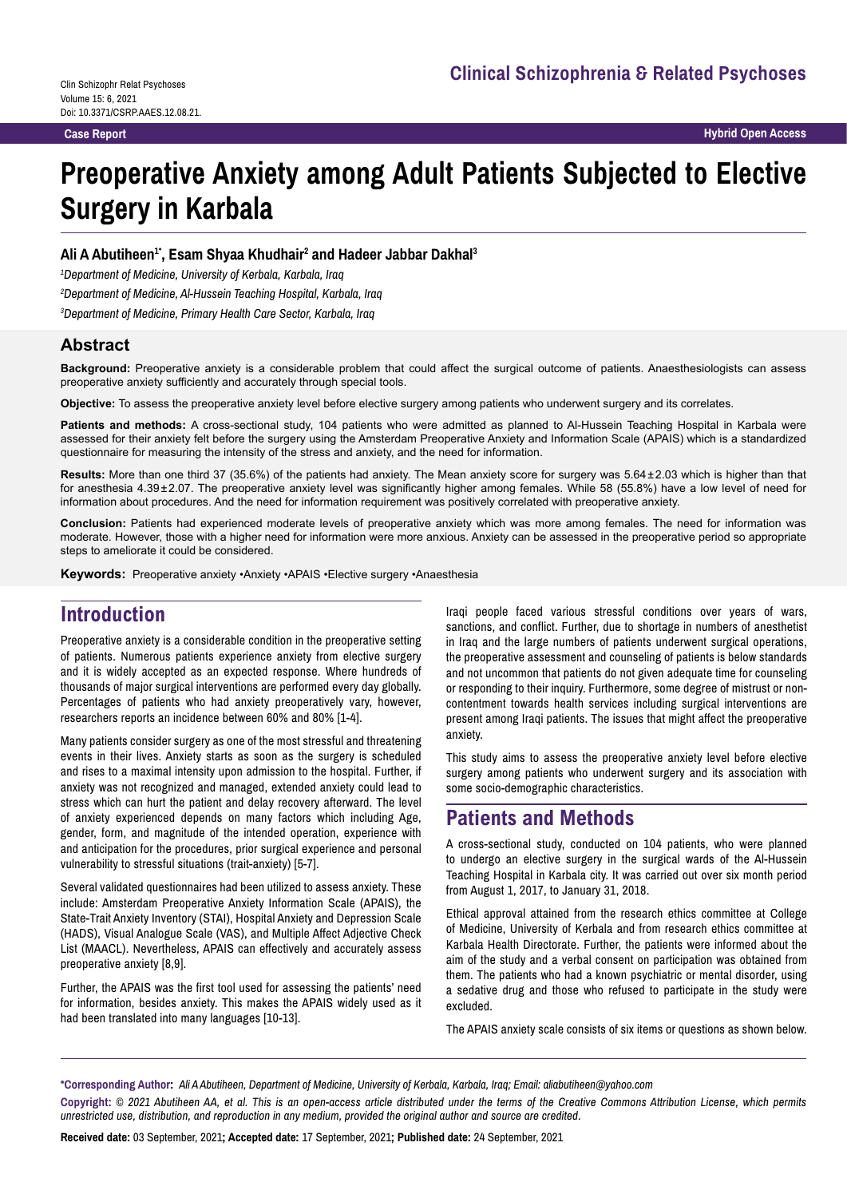**Case Report Hybrid Open Access**

# **Preoperative Anxiety among Adult Patients Subjected to Elective Surgery in Karbala**

#### Ali A Abutiheen<sup>1</sup>', Esam Shyaa Khudhair<sup>2</sup> and Hadeer Jabbar Dakhal<sup>3</sup>

*1 Department of Medicine, University of Kerbala, Karbala, Iraq*

*2 Department of Medicine, Al-Hussein Teaching Hospital, Karbala, Iraq*

*3 Department of Medicine, Primary Health Care Sector, Karbala, Iraq*

#### **Abstract**

**Background:** Preoperative anxiety is a considerable problem that could affect the surgical outcome of patients. Anaesthesiologists can assess preoperative anxiety sufficiently and accurately through special tools.

**Objective:** To assess the preoperative anxiety level before elective surgery among patients who underwent surgery and its correlates.

**Patients and methods:** A cross-sectional study, 104 patients who were admitted as planned to Al-Hussein Teaching Hospital in Karbala were assessed for their anxiety felt before the surgery using the Amsterdam Preoperative Anxiety and Information Scale (APAIS) which is a standardized questionnaire for measuring the intensity of the stress and anxiety, and the need for information.

**Results:** More than one third 37 (35.6%) of the patients had anxiety. The Mean anxiety score for surgery was 5.64±2.03 which is higher than that for anesthesia 4.39±2.07. The preoperative anxiety level was significantly higher among females. While 58 (55.8%) have a low level of need for information about procedures. And the need for information requirement was positively correlated with preoperative anxiety.

**Conclusion:** Patients had experienced moderate levels of preoperative anxiety which was more among females. The need for information was moderate. However, those with a higher need for information were more anxious. Anxiety can be assessed in the preoperative period so appropriate steps to ameliorate it could be considered.

**Keywords:** Preoperative anxiety •Anxiety •APAIS •Elective surgery •Anaesthesia

# **Introduction**

Preoperative anxiety is a considerable condition in the preoperative setting of patients. Numerous patients experience anxiety from elective surgery and it is widely accepted as an expected response. Where hundreds of thousands of major surgical interventions are performed every day globally. Percentages of patients who had anxiety preoperatively vary, however, researchers reports an incidence between 60% and 80% [1-4].

Many patients consider surgery as one of the most stressful and threatening events in their lives. Anxiety starts as soon as the surgery is scheduled and rises to a maximal intensity upon admission to the hospital. Further, if anxiety was not recognized and managed, extended anxiety could lead to stress which can hurt the patient and delay recovery afterward. The level of anxiety experienced depends on many factors which including Age, gender, form, and magnitude of the intended operation, experience with and anticipation for the procedures, prior surgical experience and personal vulnerability to stressful situations (trait-anxiety) [5-7].

Several validated questionnaires had been utilized to assess anxiety. These include: Amsterdam Preoperative Anxiety Information Scale (APAIS), the State-Trait Anxiety Inventory (STAI), Hospital Anxiety and Depression Scale (HADS), Visual Analogue Scale (VAS), and Multiple Affect Adjective Check List (MAACL). Nevertheless, APAIS can effectively and accurately assess preoperative anxiety [8,9].

Further, the APAIS was the first tool used for assessing the patients' need for information, besides anxiety. This makes the APAIS widely used as it had been translated into many languages [10-13].

Iraqi people faced various stressful conditions over years of wars, sanctions, and conflict. Further, due to shortage in numbers of anesthetist in Iraq and the large numbers of patients underwent surgical operations, the preoperative assessment and counseling of patients is below standards and not uncommon that patients do not given adequate time for counseling or responding to their inquiry. Furthermore, some degree of mistrust or noncontentment towards health services including surgical interventions are present among Iraqi patients. The issues that might affect the preoperative anxiety.

This study aims to assess the preoperative anxiety level before elective surgery among patients who underwent surgery and its association with some socio-demographic characteristics.

# **Patients and Methods**

A cross-sectional study, conducted on 104 patients, who were planned to undergo an elective surgery in the surgical wards of the Al-Hussein Teaching Hospital in Karbala city. It was carried out over six month period from August 1, 2017, to January 31, 2018.

Ethical approval attained from the research ethics committee at College of Medicine, University of Kerbala and from research ethics committee at Karbala Health Directorate. Further, the patients were informed about the aim of the study and a verbal consent on participation was obtained from them. The patients who had a known psychiatric or mental disorder, using a sedative drug and those who refused to participate in the study were excluded.

The APAIS anxiety scale consists of six items or questions as shown below.

**\*Corresponding Author:** *Ali A Abutiheen, Department of Medicine, University of Kerbala, Karbala, Iraq; Email: aliabutiheen@yahoo.com* **Copyright:** *© 2021 Abutiheen AA, et al. This is an open-access article distributed under the terms of the Creative Commons Attribution License, which permits unrestricted use, distribution, and reproduction in any medium, provided the original author and source are credited.*

**Received date:** 03 September, 2021**; Accepted date:** 17 September, 2021**; Published date:** 24 September, 2021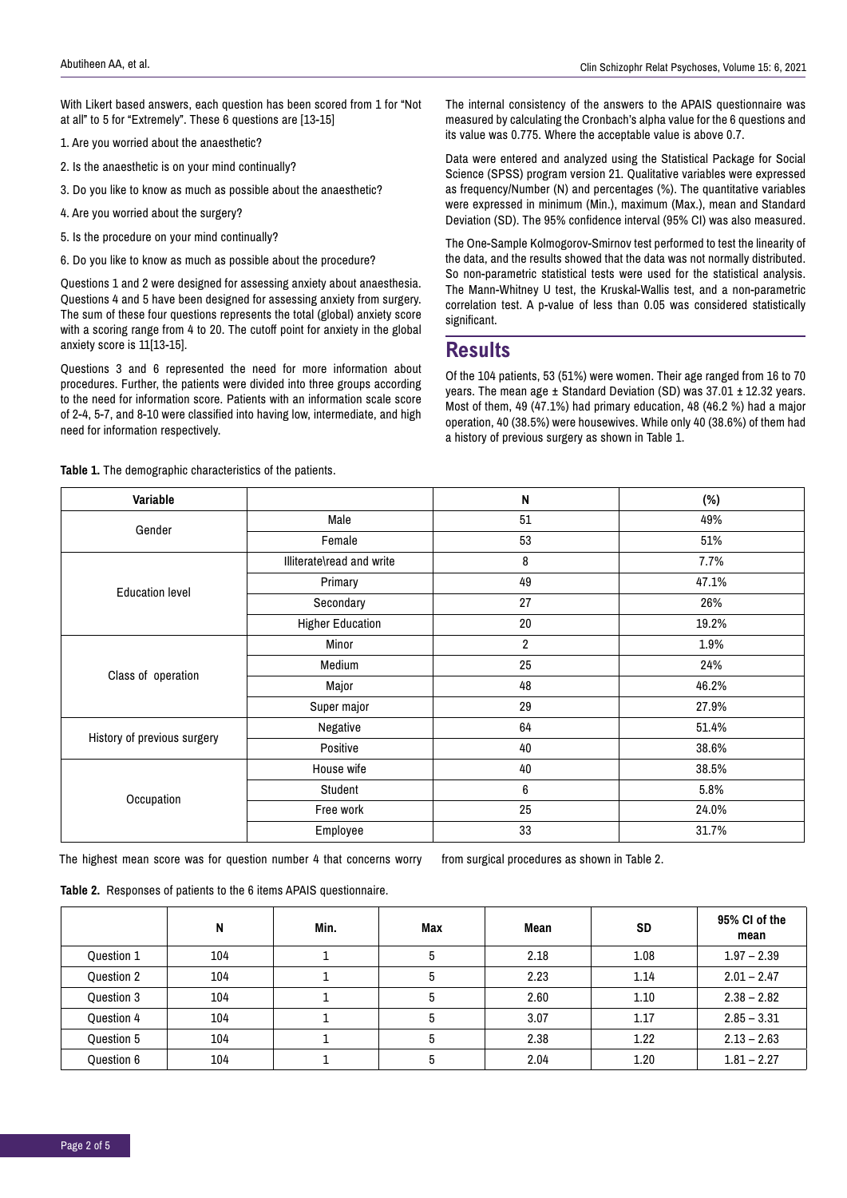With Likert based answers, each question has been scored from 1 for "Not at all" to 5 for "Extremely". These 6 questions are [13-15]

- 1. Are you worried about the anaesthetic?
- 2. Is the anaesthetic is on your mind continually?
- 3. Do you like to know as much as possible about the anaesthetic?
- 4. Are you worried about the surgery?
- 5. Is the procedure on your mind continually?
- 6. Do you like to know as much as possible about the procedure?

Questions 1 and 2 were designed for assessing anxiety about anaesthesia. Questions 4 and 5 have been designed for assessing anxiety from surgery. The sum of these four questions represents the total (global) anxiety score with a scoring range from 4 to 20. The cutoff point for anxiety in the global anxiety score is 11[13-15].

Questions 3 and 6 represented the need for more information about procedures. Further, the patients were divided into three groups according to the need for information score. Patients with an information scale score of 2-4, 5-7, and 8-10 were classified into having low, intermediate, and high need for information respectively.

**Table 1.** The demographic characteristics of the patients.

The internal consistency of the answers to the APAIS questionnaire was measured by calculating the Cronbach's alpha value for the 6 questions and its value was 0.775. Where the acceptable value is above 0.7.

Data were entered and analyzed using the Statistical Package for Social Science (SPSS) program version 21. Qualitative variables were expressed as frequency/Number (N) and percentages (%). The quantitative variables were expressed in minimum (Min.), maximum (Max.), mean and Standard Deviation (SD). The 95% confidence interval (95% CI) was also measured.

The One-Sample Kolmogorov-Smirnov test performed to test the linearity of the data, and the results showed that the data was not normally distributed. So non-parametric statistical tests were used for the statistical analysis. The Mann-Whitney U test, the Kruskal-Wallis test, and a non-parametric correlation test. A p-value of less than 0.05 was considered statistically significant.

#### **Results**

Of the 104 patients, 53 (51%) were women. Their age ranged from 16 to 70 years. The mean age ± Standard Deviation (SD) was 37.01 ± 12.32 years. Most of them, 49 (47.1%) had primary education, 48 (46.2 %) had a major operation, 40 (38.5%) were housewives. While only 40 (38.6%) of them had a history of previous surgery as shown in Table 1.

| Variable                    |                           | N              | $(\%)$ |  |
|-----------------------------|---------------------------|----------------|--------|--|
| Gender                      | Male                      | 51             | 49%    |  |
|                             | Female                    | 53             | 51%    |  |
|                             | Illiterate\read and write | 8              | 7.7%   |  |
| <b>Education level</b>      | Primary                   | 49             | 47.1%  |  |
|                             | Secondary                 | 27             | 26%    |  |
|                             | <b>Higher Education</b>   | 20             | 19.2%  |  |
| Class of operation          | Minor                     | $\overline{2}$ | 1.9%   |  |
|                             | Medium                    | 25             | 24%    |  |
|                             | Major                     | 48             | 46.2%  |  |
|                             | Super major               | 29             | 27.9%  |  |
| History of previous surgery | Negative                  | 64             | 51.4%  |  |
|                             | Positive                  | 40             | 38.6%  |  |
| Occupation                  | House wife                | 40             | 38.5%  |  |
|                             | Student                   | 6              | 5.8%   |  |
|                             | Free work                 | 25             | 24.0%  |  |
|                             | Employee                  | 33             | 31.7%  |  |

The highest mean score was for question number 4 that concerns worry from surgical procedures as shown in Table 2.

**Table 2.** Responses of patients to the 6 items APAIS questionnaire.

|            | N   | Min. | Max | Mean | <b>SD</b> | 95% CI of the<br>mean |
|------------|-----|------|-----|------|-----------|-----------------------|
| Question 1 | 104 |      | b   | 2.18 | 1.08      | $1.97 - 2.39$         |
| Question 2 | 104 |      | Ð   | 2.23 | 1.14      | $2.01 - 2.47$         |
| Question 3 | 104 |      |     | 2.60 | 1.10      | $2.38 - 2.82$         |
| Question 4 | 104 |      |     | 3.07 | 1.17      | $2.85 - 3.31$         |
| Question 5 | 104 |      |     | 2.38 | 1.22      | $2.13 - 2.63$         |
| Question 6 | 104 |      | Ð   | 2.04 | 1.20      | $1.81 - 2.27$         |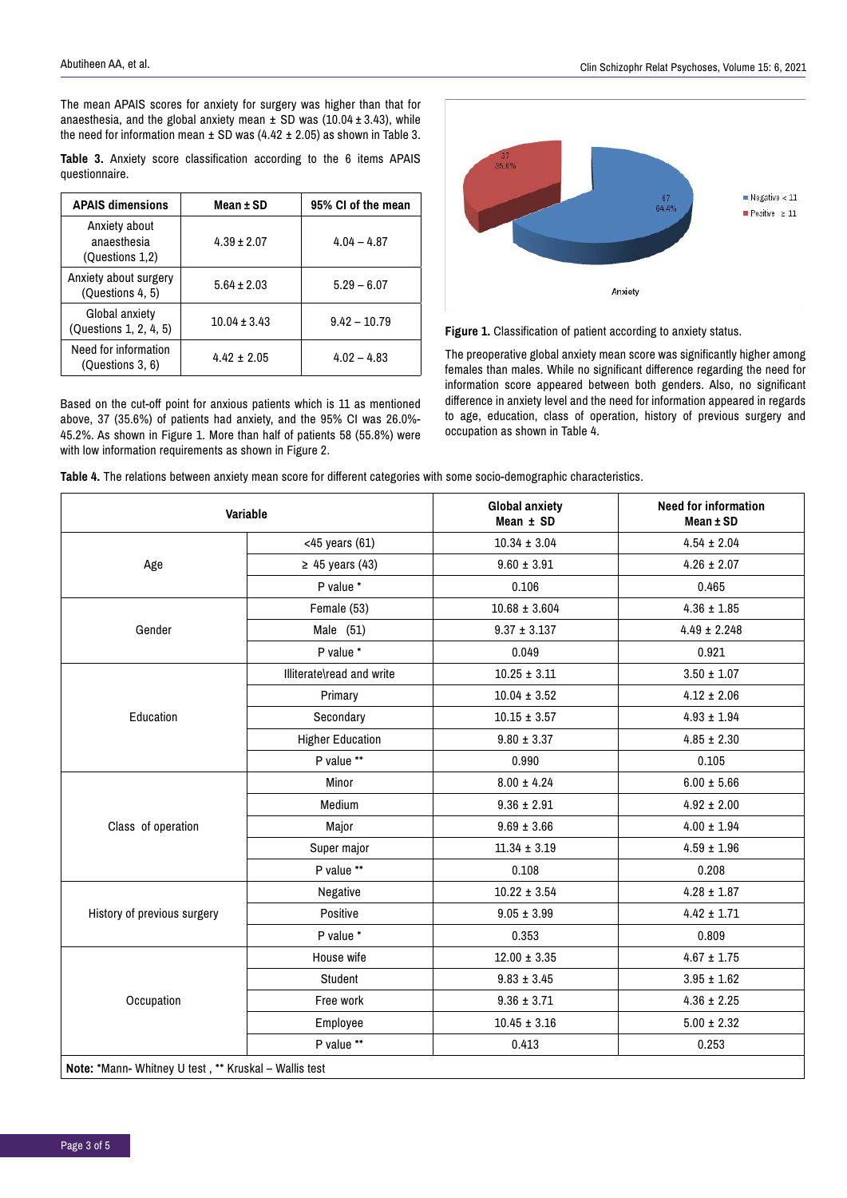The mean APAIS scores for anxiety for surgery was higher than that for anaesthesia, and the global anxiety mean  $\pm$  SD was (10.04  $\pm$  3.43), while the need for information mean  $\pm$  SD was (4.42  $\pm$  2.05) as shown in Table 3.

|                |  | Table 3. Anxiety score classification according to the 6 items APAIS |  |  |  |
|----------------|--|----------------------------------------------------------------------|--|--|--|
| questionnaire. |  |                                                                      |  |  |  |

| <b>APAIS dimensions</b>                         | Mean ± SD        | 95% CI of the mean |  |
|-------------------------------------------------|------------------|--------------------|--|
| Anxiety about<br>anaesthesia<br>(Questions 1,2) | $4.39 \pm 2.07$  | $4.04 - 4.87$      |  |
| Anxiety about surgery<br>(Questions 4, 5)       | $5.64 \pm 2.03$  | $5.29 - 6.07$      |  |
| Global anxiety<br>(Questions 1, 2, 4, 5)        | $10.04 \pm 3.43$ | $9.42 - 10.79$     |  |
| Need for information<br>(Questions 3, 6)        | $4.42 + 2.05$    | $4.02 - 4.83$      |  |

Based on the cut-off point for anxious patients which is 11 as mentioned above, 37 (35.6%) of patients had anxiety, and the 95% CI was 26.0%- 45.2%. As shown in Figure 1. More than half of patients 58 (55.8%) were with low information requirements as shown in Figure 2.



**Figure 1.** Classification of patient according to anxiety status.

The preoperative global anxiety mean score was significantly higher among females than males. While no significant difference regarding the need for information score appeared between both genders. Also, no significant difference in anxiety level and the need for information appeared in regards to age, education, class of operation, history of previous surgery and occupation as shown in Table 4.

|  |  |  | Table 4. The relations between anxiety mean score for different categories with some socio-demographic characteristics. |
|--|--|--|-------------------------------------------------------------------------------------------------------------------------|
|--|--|--|-------------------------------------------------------------------------------------------------------------------------|

| Variable                                              |                           | <b>Global anxiety</b><br>Mean ± SD | <b>Need for information</b><br>$Mean \pm SD$ |  |
|-------------------------------------------------------|---------------------------|------------------------------------|----------------------------------------------|--|
|                                                       | $<$ 45 years (61)         | $10.34 \pm 3.04$                   | $4.54 \pm 2.04$                              |  |
| Age                                                   | $\geq$ 45 years (43)      | $9.60 \pm 3.91$                    | $4.26 \pm 2.07$                              |  |
|                                                       | P value *                 | 0.106                              | 0.465                                        |  |
|                                                       | Female (53)               | $10.68 \pm 3.604$                  | $4.36 \pm 1.85$                              |  |
| Gender                                                | Male (51)                 | $9.37 \pm 3.137$                   | $4.49 \pm 2.248$                             |  |
|                                                       | P value *                 | 0.049                              | 0.921                                        |  |
|                                                       | Illiterate\read and write | $10.25 \pm 3.11$                   | $3.50 \pm 1.07$                              |  |
|                                                       | Primary                   | $10.04 \pm 3.52$                   | $4.12 \pm 2.06$                              |  |
| Education                                             | Secondary                 | $10.15 \pm 3.57$                   | $4.93 \pm 1.94$                              |  |
|                                                       | <b>Higher Education</b>   | $9.80 \pm 3.37$                    | $4.85 \pm 2.30$                              |  |
|                                                       | P value **                | 0.990                              | 0.105                                        |  |
|                                                       | Minor                     | $8.00 \pm 4.24$                    | $6.00 \pm 5.66$                              |  |
|                                                       | Medium                    | $9.36 \pm 2.91$                    | $4.92 \pm 2.00$                              |  |
| Class of operation                                    | Major                     | $9.69 \pm 3.66$                    | $4.00 \pm 1.94$                              |  |
|                                                       | Super major               | $11.34 \pm 3.19$                   | $4.59 \pm 1.96$                              |  |
|                                                       | P value **                | 0.108                              | 0.208                                        |  |
|                                                       | Negative                  | $10.22 \pm 3.54$                   | $4.28 \pm 1.87$                              |  |
| History of previous surgery                           | Positive                  | $9.05 \pm 3.99$                    | $4.42 \pm 1.71$                              |  |
|                                                       | P value *                 | 0.353                              | 0.809                                        |  |
|                                                       | House wife                | $12.00 \pm 3.35$                   | $4.67 \pm 1.75$                              |  |
|                                                       | Student                   | $9.83 \pm 3.45$                    | $3.95 \pm 1.62$                              |  |
| Occupation                                            | Free work                 | $9.36 \pm 3.71$                    | $4.36 \pm 2.25$                              |  |
|                                                       | Employee                  | $10.45 \pm 3.16$                   | $5.00 \pm 2.32$                              |  |
|                                                       | P value **                | 0.413                              | 0.253                                        |  |
| Note: *Mann- Whitney U test, ** Kruskal - Wallis test |                           |                                    |                                              |  |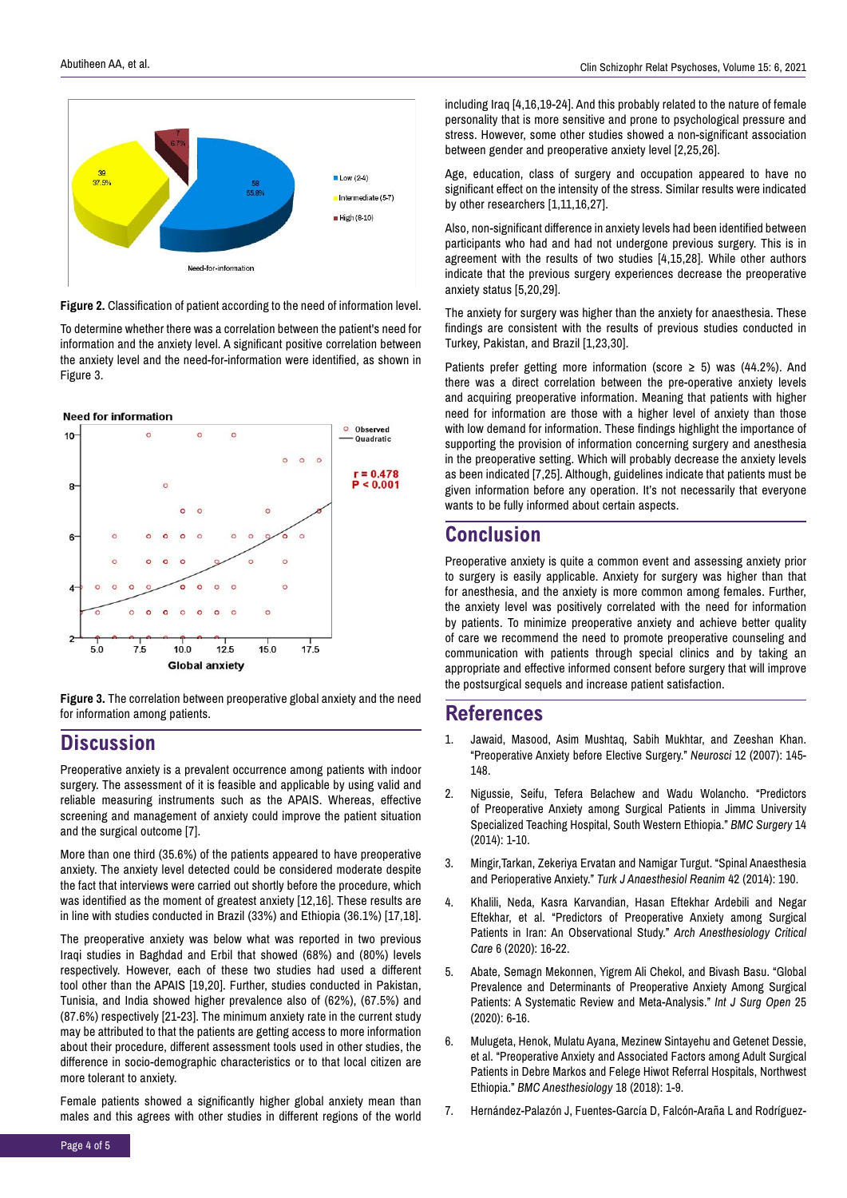

**Figure 2.** Classification of patient according to the need of information level.

To determine whether there was a correlation between the patient's need for information and the anxiety level. A significant positive correlation between the anxiety level and the need-for-information were identified, as shown in Figure 3.

#### **Need for information**



**Figure 3.** The correlation between preoperative global anxiety and the need for information among patients.

### **Discussion**

Preoperative anxiety is a prevalent occurrence among patients with indoor surgery. The assessment of it is feasible and applicable by using valid and reliable measuring instruments such as the APAIS. Whereas, effective screening and management of anxiety could improve the patient situation and the surgical outcome [7].

More than one third (35.6%) of the patients appeared to have preoperative anxiety. The anxiety level detected could be considered moderate despite the fact that interviews were carried out shortly before the procedure, which was identified as the moment of greatest anxiety [12,16]. These results are in line with studies conducted in Brazil (33%) and Ethiopia (36.1%) [17,18].

The preoperative anxiety was below what was reported in two previous Iraqi studies in Baghdad and Erbil that showed (68%) and (80%) levels respectively. However, each of these two studies had used a different tool other than the APAIS [19,20]. Further, studies conducted in Pakistan, Tunisia, and India showed higher prevalence also of (62%), (67.5%) and (87.6%) respectively [21-23]. The minimum anxiety rate in the current study may be attributed to that the patients are getting access to more information about their procedure, different assessment tools used in other studies, the difference in socio-demographic characteristics or to that local citizen are more tolerant to anxiety.

Female patients showed a significantly higher global anxiety mean than males and this agrees with other studies in different regions of the world including Iraq [4,16,19-24]. And this probably related to the nature of female personality that is more sensitive and prone to psychological pressure and stress. However, some other studies showed a non-significant association between gender and preoperative anxiety level [2,25,26].

Age, education, class of surgery and occupation appeared to have no significant effect on the intensity of the stress. Similar results were indicated by other researchers [1,11,16,27].

Also, non-significant difference in anxiety levels had been identified between participants who had and had not undergone previous surgery. This is in agreement with the results of two studies [4,15,28]. While other authors indicate that the previous surgery experiences decrease the preoperative anxiety status [5,20,29].

The anxiety for surgery was higher than the anxiety for anaesthesia. These findings are consistent with the results of previous studies conducted in Turkey, Pakistan, and Brazil [1,23,30].

Patients prefer getting more information (score  $\geq$  5) was (44.2%). And there was a direct correlation between the pre-operative anxiety levels and acquiring preoperative information. Meaning that patients with higher need for information are those with a higher level of anxiety than those with low demand for information. These findings highlight the importance of supporting the provision of information concerning surgery and anesthesia in the preoperative setting. Which will probably decrease the anxiety levels as been indicated [7,25]. Although, guidelines indicate that patients must be given information before any operation. It's not necessarily that everyone wants to be fully informed about certain aspects.

# **Conclusion**

Preoperative anxiety is quite a common event and assessing anxiety prior to surgery is easily applicable. Anxiety for surgery was higher than that for anesthesia, and the anxiety is more common among females. Further, the anxiety level was positively correlated with the need for information by patients. To minimize preoperative anxiety and achieve better quality of care we recommend the need to promote preoperative counseling and communication with patients through special clinics and by taking an appropriate and effective informed consent before surgery that will improve the postsurgical sequels and increase patient satisfaction.

#### **References**

- 1. Jawaid, Masood, Asim Mushtaq, Sabih Mukhtar, and Zeeshan Khan. "Preoperative Anxiety before Elective Surgery." *Neurosci* 12 (2007): 145- 148.
- 2. [Nigussie, Seifu, Tefera Belachew and Wadu Wolancho. "Predictors](https://doi.org/10.1186/1471-2482-14-67)  of Preoperative Anxiety among Surgical Patients in Jimma University Specialized Teaching Hospital, South Western Ethiopia." *BMC Surgery* 14 (2014): 1-10.
- 3. Mingir,Tarkan, Zekeriya Ervatan and Namigar Turgut. "Spinal Anaesthesia and Perioperative Anxiety." *Turk J Anaesthesiol Reanim* 42 (2014): 190.
- 4. Khalili, Neda, Kasra Karvandian, Hasan Eftekhar Ardebili and Negar Eftekhar, et al. "Predictors of Preoperative Anxiety among Surgical Patients in Iran: An Observational Study." *Arch Anesthesiology Critical Care* 6 (2020): 16-22.
- 5. Abate, Semagn Mekonnen, Yigrem Ali Chekol, and Bivash Basu. "Global [Prevalence and Determinants of Preoperative Anxiety Among Surgical](https://doi.org/10.1016/j.ijso.2020.08.006)  Patients: A Systematic Review and Meta-Analysis." *Int J Surg Open* 25 (2020): 6-16.
- 6. Mulugeta, Henok, Mulatu Ayana, Mezinew Sintayehu and Getenet Dessie, et al. "Preoperative Anxiety and Associated Factors among Adult Surgical [Patients in Debre Markos and Felege Hiwot Referral Hospitals, Northwest](https://doi.org/10.1186/s12871-018-0619-0)  Ethiopia." *BMC Anesthesiology* 18 (2018): 1-9.
- 7. Hernández-Palazón J, Fuentes-García D, Falcón-Araña L and Rodríguez-